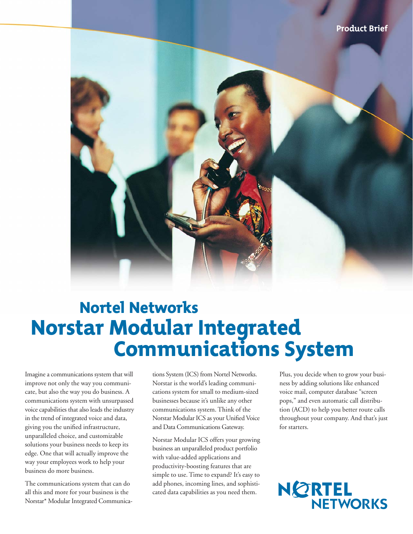

# Nortel Networks Norstar Modular Integrated Communications System

Imagine a communications system that will improve not only the way you communicate, but also the way you do business. A communications system with unsurpassed voice capabilities that also leads the industry in the trend of integrated voice and data, giving you the unified infrastructure, unparalleled choice, and customizable solutions your business needs to keep its edge. One that will actually improve the way your employees work to help your business do more business.

The communications system that can do all this and more for your business is the Norstar\* Modular Integrated Communications System (ICS) from Nortel Networks. Norstar is the world's leading communications system for small to medium-sized businesses because it's unlike any other communications system. Think of the Norstar Modular ICS as your Unified Voice and Data Communications Gateway.

Norstar Modular ICS offers your growing business an unparalleled product portfolio with value-added applications and productivity-boosting features that are simple to use. Time to expand? It's easy to add phones, incoming lines, and sophisticated data capabilities as you need them.

Plus, you decide when to grow your business by adding solutions like enhanced voice mail, computer database "screen pops," and even automatic call distribution (ACD) to help you better route calls throughout your company. And that's just for starters.

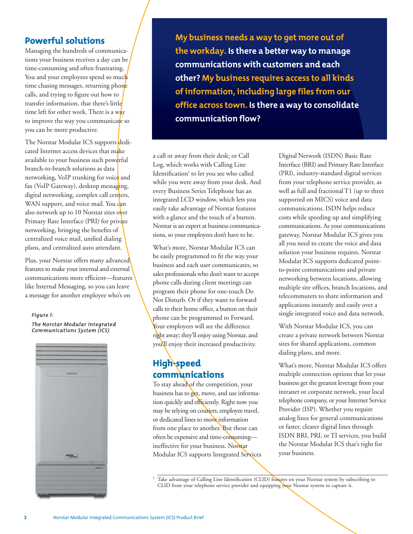## Powerful solutions

Managing the hundreds of communications your business receives a day can be time-consuming and often frustrating. You and your employees spend so much time chasing messages, returning phone calls, and trying to figure out how to transfer information, that there's little time left for other work. There is a way to improve the way you communicate so you can be more productive.

The Norstar Modular ICS supports dedicated Internet access devices that make available to your business such powerful branch-to-branch solutions as data networking, VoIP trunking for voice and fax (VoIP Gateway), desktop messaging, digital networking, complex call centers, WAN support, and voice mail. You can also network up to 10 Norstar sites over Primary Rate Interface (PRI) for private networking, bringing the benefits of centralized voice mail, unified dialing plans, and centralized auto attendant.

Plus, your Norstar offers many advanced features to make your internal and external communications more efficient—features like Internal Messaging, so you can leave a message for another employee who's on

## *Figure 1:*

*The Norstar Modular Integrated Communications System (ICS)*



**My business needs a way to get more out of the workday. Is there a better way to manage communications with customers and each other? My business requires access to all kinds of information, including large files from our office across town. Is there a way to consolidate communication flow?**

a call or away from their desk; or Call Log, which works with Calling Line Identification<sup>#</sup> to let you see who called while you were away from your desk. And every Business Series Telephone has an integrated LCD window, which lets you easily take advantage of Norstar features with a glance and the touch of a button. Norstar is an expert at business communications, so your employees don't have to be.

What's more, Norstar Modular ICS can be easily programmed to fit the way your business and each user communicates, so sales professionals who don't want to accept phone calls during client meetings can program their phone for one-touch Do Not Disturb. Or if they want to forward calls to their home office, a button on their phone can be programmed to Forward. Your employees will see the difference right away; they'll enjoy using Norstar, and you'll enjoy their increased productivity.

# High-speed communications

To stay ahead of the competition, your business has to get, move, and use information quickly and efficiently. Right now you may be relying on couriers, employee travel, or dedicated lines to move information from one place to another. But those can often be expensive and time-consuming ineffective for your business. Norstar Modular ICS supports Integrated Services Digital Network (ISDN) Basic Rate Interface (BRI) and Primary Rate Interface (PRI), industry-standard digital services from your telephone service provider, as well as full and fractional T1 (up to three supported on MICS) voice and data communications. ISDN helps reduce costs while speeding up and simplifying communications. As your communications gateway, Norstar Modular ICS gives you all you need to create the voice and data solution your business requires. Norstar Modular ICS supports dedicated pointto-point communications and private networking between locations, allowing multiple site offices, branch locations, and telecommuters to share information and applications instantly and easily over a single integrated voice and data network.

With Norstar Modular ICS, you can create a private network between Norstar sites for shared applications, common dialing plans, and more.

What's more, Norstar Modular ICS offers multiple connection options that let your business get the greatest leverage from your intranet or corporate network, your local telephone company, or your Internet Service Provider (ISP). Whether you require analog lines for general communications or faster, clearer digital lines through ISDN BRI, PRI, or TI services, you build the Norstar Modular ICS that's right for your business.

<sup>‡</sup> Take advantage of Calling Line Identification (CLID) features on your Norstar system by subscribing to CLID from your telephone service provider and equipping your Norstar system to capture it.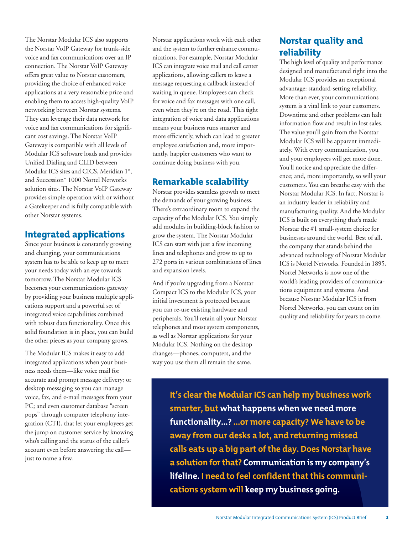The Norstar Modular ICS also supports the Norstar VoIP Gateway for trunk-side voice and fax communications over an IP connection. The Norstar VoIP Gateway offers great value to Norstar customers, providing the choice of enhanced voice applications at a very reasonable price and enabling them to access high-quality VoIP networking between Norstar systems. They can leverage their data network for voice and fax communications for significant cost savings. The Norstar VoIP Gateway is compatible with all levels of Modular ICS software loads and provides Unified Dialing and CLID between Modular ICS sites and CICS, Meridian 1\*, and Succession\* 1000 Nortel Networks solution sites. The Norstar VoIP Gateway provides simple operation with or without a Gatekeeper and is fully compatible with other Norstar systems.

# Integrated applications

Since your business is constantly growing and changing, your communications system has to be able to keep up to meet your needs today with an eye towards tomorrow. The Norstar Modular ICS becomes your communications gateway by providing your business multiple applications support and a powerful set of integrated voice capabilities combined with robust data functionality. Once this solid foundation is in place, you can build the other pieces as your company grows.

The Modular ICS makes it easy to add integrated applications when your business needs them—like voice mail for accurate and prompt message delivery; or desktop messaging so you can manage voice, fax, and e-mail messages from your PC; and even customer database "screen pops" through computer telephony integration (CTI), that let your employees get the jump on customer service by knowing who's calling and the status of the caller's account even before answering the call just to name a few.

Norstar applications work with each other and the system to further enhance communications. For example, Norstar Modular ICS can integrate voice mail and call center applications, allowing callers to leave a message requesting a callback instead of waiting in queue. Employees can check for voice and fax messages with one call, even when they're on the road. This tight integration of voice and data applications means your business runs smarter and more efficiently, which can lead to greater employee satisfaction and, more importantly, happier customers who want to continue doing business with you.

## Remarkable scalability

Norstar provides seamless growth to meet the demands of your growing business. There's extraordinary room to expand the capacity of the Modular ICS. You simply add modules in building-block fashion to grow the system. The Norstar Modular ICS can start with just a few incoming lines and telephones and grow to up to 272 ports in various combinations of lines and expansion levels.

And if you're upgrading from a Norstar Compact ICS to the Modular ICS, your initial investment is protected because you can re-use existing hardware and peripherals. You'll retain all your Norstar telephones and most system components, as well as Norstar applications for your Modular ICS. Nothing on the desktop changes—phones, computers, and the way you use them all remain the same.

# Norstar quality and reliability

The high level of quality and performance designed and manufactured right into the Modular ICS provides an exceptional advantage: standard-setting reliability. More than ever, your communications system is a vital link to your customers. Downtime and other problems can halt information flow and result in lost sales. The value you'll gain from the Norstar Modular ICS will be apparent immediately. With every communication, you and your employees will get more done. You'll notice and appreciate the difference; and, more importantly, so will your customers. You can breathe easy with the Norstar Modular ICS. In fact, Norstar is an industry leader in reliability and manufacturing quality. And the Modular ICS is built on everything that's made Norstar the #1 small-system choice for businesses around the world. Best of all, the company that stands behind the advanced technology of Norstar Modular ICS is Nortel Networks. Founded in 1895, Nortel Networks is now one of the world's leading providers of communications equipment and systems. And because Norstar Modular ICS is from Nortel Networks, you can count on its quality and reliability for years to come.

**It's clear the Modular ICS can help my business work smarter, but what happens when we need more functionality...? ...or more capacity? We have to be away from our desks a lot, and returning missed calls eats up a big part of the day. Does Norstar have a solution for that? Communication is my company's lifeline. I need to feel confident that this communications system will keep my business going.**